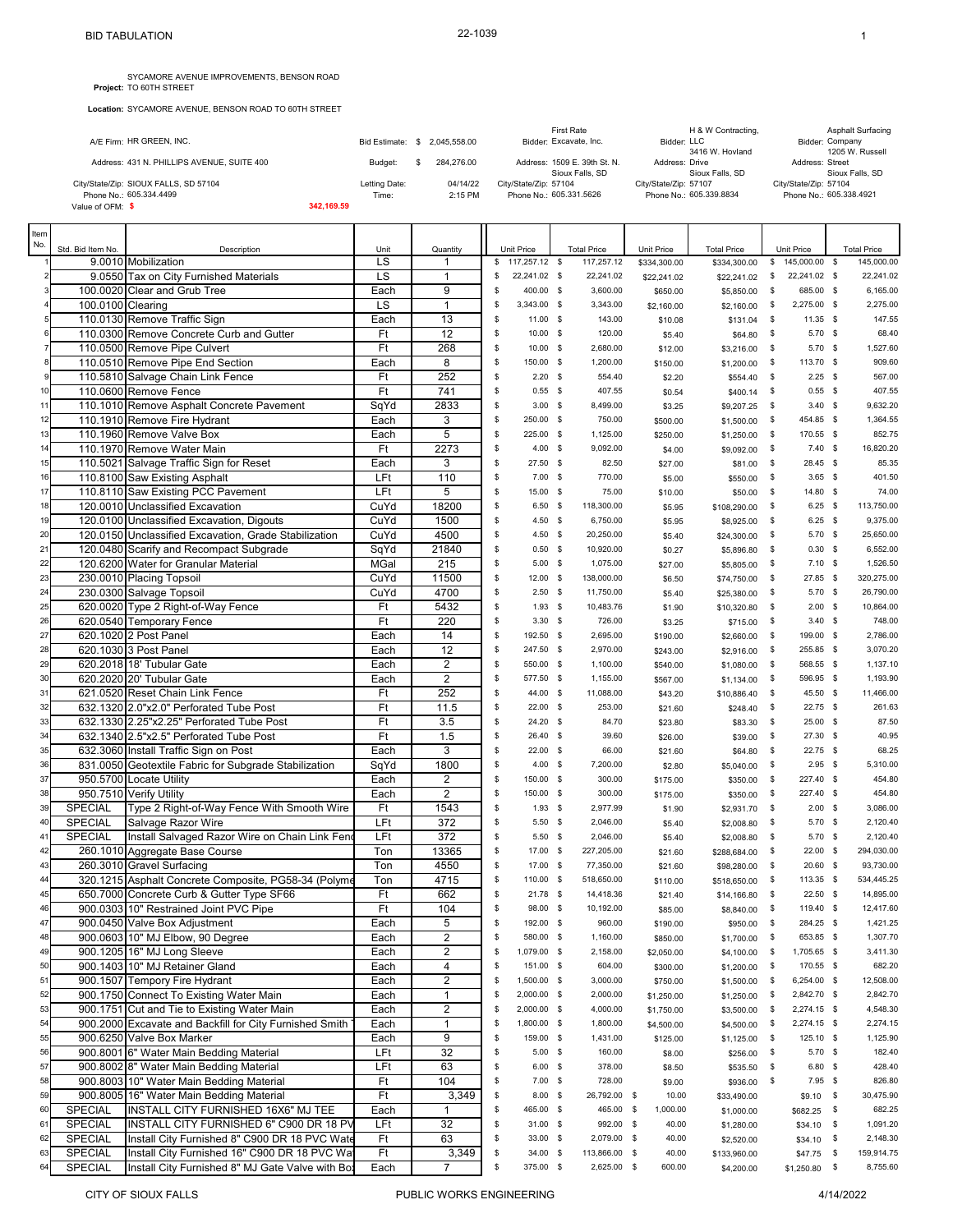**Location:** SYCAMORE AVENUE, BENSON ROAD TO 60TH STREET

|                                            |            |                  |              | First Rate                   | H & W Contracting,      | <b>Asphalt Surfacing</b> |
|--------------------------------------------|------------|------------------|--------------|------------------------------|-------------------------|--------------------------|
| A/E Firm: HR GREEN, INC.                   |            | Bid Estimate: \$ | 2.045.558.00 | Bidder: Excavate, Inc.       | Bidder: LLC             | Bidder: Company          |
|                                            |            |                  |              |                              | 3416 W. Hovland         | 1205 W. Russell          |
| Address: 431 N. PHILLIPS AVENUE, SUITE 400 |            | Budget:          | 284.276.00   | Address: 1509 E. 39th St. N. | Address: Drive          | Address: Street          |
|                                            |            |                  |              | Sioux Falls, SD              | Sioux Falls, SD         | Sioux Falls, SD          |
| City/State/Zip: SIOUX FALLS, SD 57104      |            | Letting Date:    | 04/14/22     | City/State/Zip: 57104        | City/State/Zip: 57107   | City/State/Zip: 57104    |
| Phone No.: 605.334.4499                    |            | Time:            | 2:15 PM      | Phone No.: 605.331.5626      | Phone No.: 605.339.8834 | Phone No.: 605.338.4921  |
| Value of OFM: \$                           | 342.169.59 |                  |              |                              |                         |                          |

| Item |                   |                                                         |      |                 |          |               |                    |              |                    |              |                |                    |
|------|-------------------|---------------------------------------------------------|------|-----------------|----------|---------------|--------------------|--------------|--------------------|--------------|----------------|--------------------|
| No.  | Std. Bid Item No. | Description                                             | Unit | Quantity        |          | Unit Price    | <b>Total Price</b> | Unit Price   | <b>Total Price</b> |              | Unit Price     | <b>Total Price</b> |
|      |                   | 9.0010 Mobilization                                     | LS   | 1               | \$       | 117,257.12 \$ | 117,257.12         | \$334,300.00 | \$334,300.00       |              | \$145,000.00\$ | 145,000.00         |
|      |                   | 9.0550 Tax on City Furnished Materials                  | LS   | $\mathbf{1}$    | S        | 22,241.02 \$  | 22,241.02          | \$22,241.02  | \$22,241.02        | \$           | 22,241.02 \$   | 22,241.02          |
|      |                   | 100.0020 Clear and Grub Tree                            | Each | 9               | \$       | 400.00 \$     | 3,600.00           | \$650.00     | \$5,850.00         | \$           | 685.00 \$      | 6,165.00           |
|      | 100.0100 Clearing |                                                         | LS   | $\mathbf{1}$    | s        | 3,343.00 \$   | 3,343.00           | \$2,160.00   | \$2,160.00         | \$           | 2,275.00 \$    | 2,275.00           |
|      |                   | 110.0130 Remove Traffic Sign                            | Each | 13              | \$       | 11.00 \$      | 143.00             | \$10.08      | \$131.04           | \$           | 11.35 \$       | 147.55             |
|      |                   | 110.0300 Remove Concrete Curb and Gutter                | Ft   | $\overline{12}$ | S        | $10.00$ \$    | 120.00             | \$5.40       | \$64.80            | \$           | $5.70$ \$      | 68.40              |
|      |                   | 110.0500 Remove Pipe Culvert                            | Ft   | 268             | \$       | $10.00$ \$    | 2,680.00           | \$12.00      | \$3,216.00         | \$           | $5.70$ \$      | 1,527.60           |
|      |                   | 110.0510 Remove Pipe End Section                        | Each | 8               | \$       | 150.00 \$     | 1,200.00           | \$150.00     | \$1,200.00         | \$           | 113.70 \$      | 909.60             |
|      |                   | 110.5810 Salvage Chain Link Fence                       | Ft   | 252             | \$       | $2.20$ \$     | 554.40             | \$2.20       | \$554.40           | \$           | $2.25$ \$      | 567.00             |
| 10   |                   | 110.0600 Remove Fence                                   | Ft   | 741             | \$       | $0.55$ \$     | 407.55             | \$0.54       | \$400.14           | \$           | $0.55$ \$      | 407.55             |
| 11   |                   | 110.1010 Remove Asphalt Concrete Pavement               | SqYd | 2833            | \$       | $3.00$ \$     | 8,499.00           | \$3.25       | \$9,207.25         | \$           | $3.40$ \$      | 9,632.20           |
| 12   |                   | 110.1910 Remove Fire Hydrant                            | Each | 3               | \$       | 250.00 \$     | 750.00             | \$500.00     | \$1,500.00         | - \$         | 454.85 \$      | 1,364.55           |
| 13   |                   | 110.1960 Remove Valve Box                               | Each | $\overline{5}$  | \$       | 225.00 \$     | 1,125.00           | \$250.00     | \$1,250.00         | \$           | 170.55 \$      | 852.75             |
| 14   |                   | 110.1970 Remove Water Main                              | Ft   | 2273            | S        | $4.00\%$      | 9,092.00           | \$4.00       | \$9,092.00         | \$           | $7.40$ \$      | 16,820.20          |
| 15   |                   | 110.5021 Salvage Traffic Sign for Reset                 | Each | 3               | \$       | 27.50 \$      | 82.50              | \$27.00      | \$81.00            | \$           | 28.45 \$       | 85.35              |
| 16   |                   | 110.8100 Saw Existing Asphalt                           | LFt  | 110             | \$       | $7.00$ \$     | 770.00             | \$5.00       | \$550.00           | \$           | $3.65$ \$      | 401.50             |
| 17   |                   | 110.8110 Saw Existing PCC Pavement                      | LFt  | 5               | \$       | 15.00 \$      | 75.00              | \$10.00      | \$50.00            | \$           | 14.80 \$       | 74.00              |
| 18   |                   | 120.0010 Unclassified Excavation                        | CuYd | 18200           | \$       | $6.50$ \$     | 118,300.00         | \$5.95       | \$108,290.00       | \$           | $6.25$ \$      | 113,750.00         |
| 19   |                   | 120.0100 Unclassified Excavation, Digouts               | CuYd | 1500            | S        | $4.50$ \$     | 6,750.00           | \$5.95       | \$8,925.00         | \$           | $6.25$ \$      | 9,375.00           |
| 20   |                   | 120.0150 Unclassified Excavation, Grade Stabilization   | CuYd | 4500            | \$       | $4.50$ \$     | 20,250.00          | \$5.40       | \$24,300.00        | \$           | $5.70$ \$      | 25,650.00          |
| 21   |                   | 120.0480 Scarify and Recompact Subgrade                 | SqYd | 21840           | \$       | $0.50$ \$     | 10,920.00          | \$0.27       | \$5,896.80         | \$           | $0.30$ \$      | 6,552.00           |
| 22   |                   | 120.6200 Water for Granular Material                    | MGal | 215             | \$       | 5.00          | \$<br>1,075.00     | \$27.00      | \$5,805.00         | \$           | $7.10$ \$      | 1,526.50           |
| 23   |                   | 230.0010 Placing Topsoil                                | CuYd | 11500           | \$       | $12.00$ \$    | 138,000.00         | \$6.50       | \$74,750.00        | - \$         | 27.85 \$       | 320,275.00         |
| 24   |                   | 230.0300 Salvage Topsoil                                | CuYd | 4700            | S        | 2.50          | \$<br>11,750.00    | \$5.40       | \$25,380.00        | \$           | $5.70$ \$      | 26.790.00          |
| 25   |                   | 620.0020 Type 2 Right-of-Way Fence                      | Ft   | 5432            | S        | $1.93$ \$     | 10,483.76          |              |                    | \$           | $2.00$ \$      | 10,864.00          |
| 26   |                   | 620.0540 Temporary Fence                                | Ft   | 220             | S        | $3.30$ \$     | 726.00             | \$1.90       | \$10,320.80        | - \$         | $3.40$ \$      | 748.00             |
|      |                   |                                                         |      |                 |          |               |                    | \$3.25       | \$715.00           |              |                |                    |
| 27   |                   | 620.1020 2 Post Panel                                   | Each | 14              | \$<br>\$ | 192.50 \$     | 2,695.00           | \$190.00     | \$2,660.00         | \$           | 199.00 \$      | 2,786.00           |
| 28   |                   | 620.1030 3 Post Panel                                   | Each | 12              |          | 247.50 \$     | 2,970.00           | \$243.00     | \$2,916.00         | \$           | 255.85 \$      | 3,070.20           |
| 29   |                   | 620.2018 18' Tubular Gate                               | Each | $\overline{2}$  | \$       | 550.00 \$     | 1,100.00           | \$540.00     | \$1,080.00         | \$           | 568.55 \$      | 1,137.10           |
| 30   |                   | 620.2020 20' Tubular Gate                               | Each | $\overline{2}$  | \$       | 577.50 \$     | 1,155.00           | \$567.00     | \$1,134.00         | \$           | 596.95 \$      | 1,193.90           |
| 31   |                   | 621.0520 Reset Chain Link Fence                         | Ft   | 252             | \$       | 44.00 \$      | 11,088.00          | \$43.20      | \$10,886.40        | \$           | 45.50 \$       | 11,466.00          |
| 32   |                   | 632.1320 2.0"x2.0" Perforated Tube Post                 | Ft   | 11.5            | \$       | $22.00$ \$    | 253.00             | \$21.60      | \$248.40           | \$           | 22.75 \$       | 261.63             |
| 33   |                   | 632.1330 2.25"x2.25" Perforated Tube Post               | Ft   | 3.5             | \$       | $24.20$ \$    | 84.70              | \$23.80      | \$83.30            | \$           | $25.00$ \$     | 87.50              |
| 34   |                   | 632.1340 2.5"x2.5" Perforated Tube Post                 | Ft   | 1.5             | \$       | 26.40 \$      | 39.60              | \$26.00      | \$39.00            | \$           | 27.30 \$       | 40.95              |
| 35   |                   | 632.3060 Install Traffic Sign on Post                   | Each | 3               | \$       | $22.00$ \$    | 66.00              | \$21.60      | \$64.80            | -\$          | 22.75 \$       | 68.25              |
| 36   |                   | 831.0050 Geotextile Fabric for Subgrade Stabilization   | SqYd | 1800            | \$       | $4.00\%$      | 7,200.00           | \$2.80       | \$5,040.00         | - \$         | $2.95$ \$      | 5,310.00           |
| 37   |                   | 950.5700 Locate Utility                                 | Each | $\overline{2}$  | \$       | 150.00 \$     | 300.00             | \$175.00     | \$350.00           | \$           | 227.40 \$      | 454.80             |
| 38   |                   | 950.7510 Verify Utility                                 | Each | $\overline{2}$  | S        | 150.00 \$     | 300.00             | \$175.00     | \$350.00           | \$           | 227.40 \$      | 454.80             |
| 39   | <b>SPECIAL</b>    | Type 2 Right-of-Way Fence With Smooth Wire              | Ft   | 1543            | S        | $1.93$ \$     | 2,977.99           | \$1.90       | \$2,931.70         | \$           | $2.00$ \$      | 3,086.00           |
| 40   | <b>SPECIAL</b>    | Salvage Razor Wire                                      | LFt  | 372             | \$       | $5.50$ \$     | 2,046.00           | \$5.40       | \$2,008.80         | \$           | $5.70$ \$      | 2,120.40           |
| 41   | SPECIAL           | Install Salvaged Razor Wire on Chain Link Fend          | LFt  | 372             | \$       | $5.50$ \$     | 2,046.00           | \$5.40       | \$2,008.80         | \$           | $5.70$ \$      | 2,120.40           |
| 42   |                   | 260.1010 Aggregate Base Course                          | Ton  | 13365           | \$       | 17.00 \$      | 227,205.00         | \$21.60      | \$288,684.00       | \$           | $22.00$ \$     | 294,030.00         |
| 43   |                   | 260.3010 Gravel Surfacing                               | Ton  | 4550            | \$       | 17.00 \$      | 77,350.00          | \$21.60      | \$98,280.00        | \$           | $20.60$ \$     | 93.730.00          |
| 44   |                   | 320.1215 Asphalt Concrete Composite, PG58-34 (Polyme    | Ton  | 4715            | \$       | 110.00 \$     | 518,650.00         | \$110.00     | \$518,650.00       | \$           | 113.35 \$      | 534,445.25         |
| 45   |                   | 650.7000 Concrete Curb & Gutter Type SF66               | Ft   | 662             | \$       | $21.78$ \$    | 14,418.36          | \$21.40      | \$14,166.80        | \$           | $22.50$ \$     | 14,895.00          |
| 46   |                   | 900.0303 10" Restrained Joint PVC Pipe                  | Ft   | 104             | \$       | 98.00 \$      | 10,192.00          | \$85.00      | \$8,840.00         | \$           | 119.40 \$      | 12,417.60          |
| 47   |                   | 900.0450 Valve Box Adjustment                           | Each | 5               | \$       | 192.00 \$     | 960.00             | \$190.00     | \$950.00           | \$           | 284.25 \$      | 1,421.25           |
| 48   |                   | 900.0603 10" MJ Elbow, 90 Degree                        | Each | $\overline{2}$  | \$       | 580.00 \$     | 1,160.00           | \$850.00     | $$1,700.00$ \$     |              | 653.85 \$      | 1,307.70           |
| 49   |                   | 900.1205 16" MJ Long Sleeve                             | Each | $\overline{2}$  | \$       | 1,079.00 \$   | 2,158.00           | \$2,050.00   | \$4,100.00 \$      |              | 1,705.65 \$    | 3,411.30           |
| 50   |                   | 900.1403 10" MJ Retainer Gland                          | Each | 4               | \$       | 151.00 \$     | 604.00             | \$300.00     | \$1,200.00         | $\mathbb{S}$ | 170.55 \$      | 682.20             |
| 51   |                   | 900.1507 Tempory Fire Hydrant                           | Each | $\overline{2}$  | \$       | 1,500.00 \$   | 3,000.00           | \$750.00     | \$1,500.00         | $\mathbb{S}$ | 6,254.00 \$    | 12,508.00          |
| 52   |                   | 900.1750 Connect To Existing Water Main                 | Each | $\mathbf 1$     | \$       | 2,000.00 \$   | 2,000.00           | \$1,250.00   | \$1,250.00         | - \$         | 2,842.70 \$    | 2,842.70           |
| 53   |                   | 900.1751 Cut and Tie to Existing Water Main             | Each | $\sqrt{2}$      | \$       | 2,000.00 \$   | 4,000.00           | \$1,750.00   | \$3,500.00         | $\mathbb{S}$ | 2,274.15 \$    | 4,548.30           |
| 54   |                   | 900.2000 Excavate and Backfill for City Furnished Smith | Each | $\mathbf 1$     | \$       | 1,800.00 \$   | 1,800.00           | \$4,500.00   | \$4,500.00         | - \$         | 2,274.15 \$    | 2,274.15           |
| 55   |                   | 900.6250 Valve Box Marker                               | Each | $\overline{9}$  | \$       | 159.00 \$     | 1,431.00           | \$125.00     | \$1,125.00         | - \$         | 125.10 \$      | 1,125.90           |
| 56   |                   | 900.8001 6" Water Main Bedding Material                 | LFt  | 32              | \$       | $5.00$ \$     | 160.00             | \$8.00       | \$256.00           | $\mathbb{S}$ | $5.70$ \$      | 182.40             |
| 57   |                   | 900.8002 8" Water Main Bedding Material                 | LFt  | 63              | \$       | $6.00$ \$     | 378.00             | \$8.50       | \$535.50           | \$           | $6.80$ \$      | 428.40             |
| 58   |                   | 900.8003 10" Water Main Bedding Material                | Ft   | 104             | \$       | $7.00$ \$     | 728.00             | \$9.00       | \$936.00 \$        |              | 7.95 \$        | 826.80             |
| 59   |                   | 900.8005 16" Water Main Bedding Material                | Ft   | 3,349           | \$       | $8.00$ \$     | 26,792.00 \$       | 10.00        | \$33,490.00        |              | $$9.10$ \$     | 30,475.90          |
| 60   | <b>SPECIAL</b>    | INSTALL CITY FURNISHED 16X6" MJ TEE                     | Each | $\mathbf 1$     | \$       | 465.00 \$     | 465.00 \$          | 1,000.00     | \$1,000.00         |              | $$682.25$ \$   | 682.25             |
| 61   | SPECIAL           | INSTALL CITY FURNISHED 6" C900 DR 18 PV                 | LFt  | 32              | \$       | 31.00 \$      | 992.00 \$          | 40.00        | \$1,280.00         |              | $$34.10$ \$    | 1,091.20           |
| 62   | <b>SPECIAL</b>    | Install City Furnished 8" C900 DR 18 PVC Wate           | Ft   | 63              | \$       | 33.00 \$      | 2,079.00 \$        | 40.00        | \$2,520.00         |              | $$34.10$ \$    | 2,148.30           |
| 63   | SPECIAL           | Install City Furnished 16" C900 DR 18 PVC Wa            | Ft   | 3,349           | \$       | 34.00 \$      | 113,866.00 \$      | 40.00        |                    |              | $$47.75$ \$    | 159,914.75         |
| 64   | SPECIAL           |                                                         |      | 7               | \$       | 375.00 \$     | 2,625.00 \$        | 600.00       | \$133,960.00       |              |                | 8,755.60           |
|      |                   | Install City Furnished 8" MJ Gate Valve with Bo:        | Each |                 |          |               |                    |              | \$4,200.00         |              | $$1,250.80$ \$ |                    |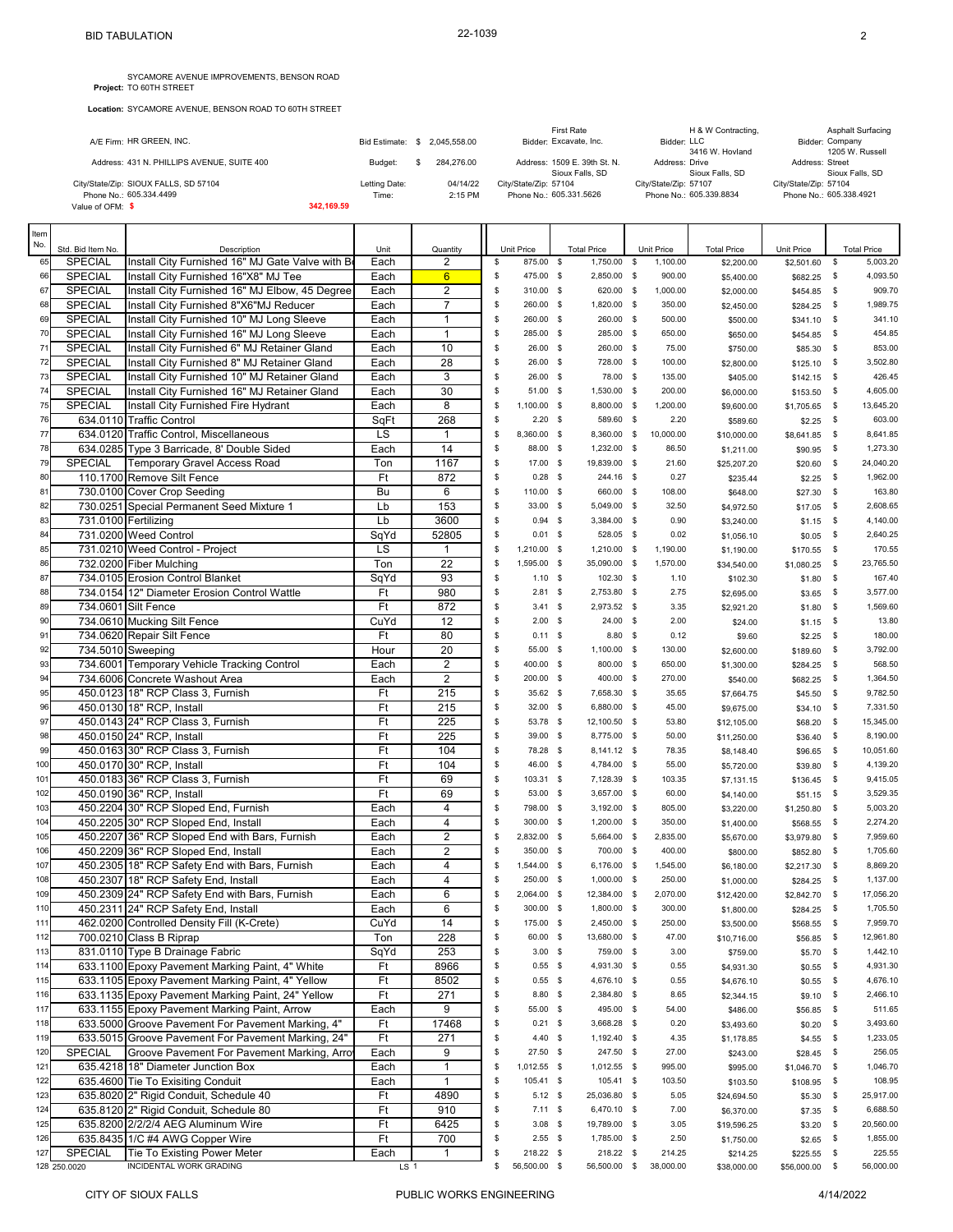**Location:** SYCAMORE AVENUE, BENSON ROAD TO 60TH STREET

|                                            |                      |              |                              | <b>First Rate</b>     | H & W Contracting,             |                       | <b>Asphalt Surfacing</b>           |
|--------------------------------------------|----------------------|--------------|------------------------------|-----------------------|--------------------------------|-----------------------|------------------------------------|
| A/E Firm: HR GREEN, INC.                   | <b>Bid Estimate:</b> | 2.045.558.00 | Bidder: Excavate, Inc.       |                       | Bidder: LLC<br>3416 W. Hovland |                       | Bidder: Company<br>1205 W. Russell |
|                                            |                      |              |                              |                       |                                |                       |                                    |
| Address: 431 N. PHILLIPS AVENUE, SUITE 400 | Budget:              | 284.276.00   | Address: 1509 E. 39th St. N. |                       | Address: Drive                 | Address: Street       |                                    |
|                                            |                      |              |                              | Sioux Falls, SD       | Sioux Falls, SD                |                       | Sioux Falls, SD                    |
| City/State/Zip: SIOUX FALLS, SD 57104      | Letting Date:        | 04/14/22     | City/State/Zip: 57104        | City/State/Zip: 57107 |                                | City/State/Zip: 57104 |                                    |
| Phone No.: 605.334.4499                    | Time:                | $2:15$ PM    | Phone No.: 605.331.5626      |                       | Phone No.: 605.339.8834        |                       | Phone No.: 605.338.4921            |
| Value of OFM: \$                           | 342.169.59           |              |                              |                       |                                |                       |                                    |

| Item<br>No. |                                     |                                                                 |                         |                 |          |                         |             |                                   |                        |                           |                          |              |                                |
|-------------|-------------------------------------|-----------------------------------------------------------------|-------------------------|-----------------|----------|-------------------------|-------------|-----------------------------------|------------------------|---------------------------|--------------------------|--------------|--------------------------------|
| 65          | Std. Bid Item No.<br><b>SPECIAL</b> | Description<br>Install City Furnished 16" MJ Gate Valve with Bo | Unit<br>Each            | Quantity<br>2   | \$       | Unit Price<br>875.00 \$ |             | <b>Total Price</b><br>1,750.00 \$ | Unit Price<br>1,100.00 | <b>Total Price</b>        | Unit Price<br>\$2,501.60 | \$           | <b>Total Price</b><br>5,003.20 |
| 66          | <b>SPECIAL</b>                      | Install City Furnished 16"X8" MJ Tee                            | Each                    | $6\overline{6}$ | \$       | 475.00 \$               |             | 2,850.00 \$                       | 900.00                 | \$2,200.00                |                          | \$           | 4,093.50                       |
| 67          | <b>SPECIAL</b>                      | Install City Furnished 16" MJ Elbow, 45 Degree                  | Each                    | $\overline{2}$  | \$       | 310.00 \$               |             | 620.00 \$                         | 1,000.00               | \$5,400.00<br>\$2,000.00  | \$682.25                 | - \$         | 909.70                         |
| 68          | SPECIAL                             | Install City Furnished 8"X6"MJ Reducer                          | Each                    | $\overline{7}$  | \$       | 260.00 \$               |             | 1,820.00 \$                       | 350.00                 | \$2,450.00                | \$454.85<br>\$284.25     | -\$          | 1,989.75                       |
| 69          | SPECIAL                             | Install City Furnished 10" MJ Long Sleeve                       | Each                    | $\mathbf{1}$    | \$       | 260.00 \$               |             | 260.00 \$                         | 500.00                 | \$500.00                  | \$341.10                 | \$           | 341.10                         |
| 70          | <b>SPECIAL</b>                      | Install City Furnished 16" MJ Long Sleeve                       | Each                    | 1               | \$       | 285.00 \$               |             | 285.00 \$                         | 650.00                 | \$650.00                  | \$454.85                 | -\$          | 454.85                         |
| 71          | <b>SPECIAL</b>                      | Install City Furnished 6" MJ Retainer Gland                     | Each                    | 10              | \$       | $26.00$ \$              |             | 260.00 \$                         | 75.00                  | \$750.00                  | \$85.30                  | \$           | 853.00                         |
| 72          | SPECIAL                             | Install City Furnished 8" MJ Retainer Gland                     | Each                    | 28              | \$       | 26.00 \$                |             | 728.00 \$                         | 100.00                 | \$2,800.00                | \$125.10                 | -\$          | 3,502.80                       |
| 73          | <b>SPECIAL</b>                      | Install City Furnished 10" MJ Retainer Gland                    | Each                    | 3               | S        | 26.00 \$                |             | 78.00 \$                          | 135.00                 | \$405.00                  | \$142.15                 | -\$          | 426.45                         |
| 74          | <b>SPECIAL</b>                      | Install City Furnished 16" MJ Retainer Gland                    | Each                    | 30              | S        | 51.00 \$                |             | 1,530.00 \$                       | 200.00                 | \$6,000.00                | \$153.50                 | -\$          | 4,605.00                       |
| 75          | <b>SPECIAL</b>                      | Install City Furnished Fire Hydrant                             | Each                    | 8               | S        | 1,100.00 \$             |             | 8,800.00 \$                       | 1,200.00               | \$9,600.00                | \$1,705.65               | \$           | 13,645.20                      |
| 76          | 634.0110                            | <b>Traffic Control</b>                                          | SqFt                    | 268             | \$       | $2.20$ \$               |             | 589.60 \$                         | 2.20                   | \$589.60                  | \$2.25                   | \$           | 603.00                         |
| 77          |                                     | 634.0120 Traffic Control, Miscellaneous                         | LS                      | $\mathbf{1}$    | S        | 8,360.00 \$             |             | 8,360.00 \$                       | 10,000.00              | \$10,000.00               | \$8,641.85               | \$           | 8,641.85                       |
| 78          |                                     | 634.0285 Type 3 Barricade, 8' Double Sided                      | Each                    | 14              | \$       | 88.00                   | $\mathbf s$ | 1,232.00 \$                       | 86.50                  | \$1,211.00                | \$90.95                  | \$           | 1,273.30                       |
| 79          | <b>SPECIAL</b>                      | <b>Temporary Gravel Access Road</b>                             | Ton                     | 1167            | \$       | 17.00 \$                |             | 19,839.00 \$                      | 21.60                  | \$25,207.20               | \$20.60                  | \$           | 24,040.20                      |
| 80          |                                     | 110.1700 Remove Silt Fence                                      | Ft                      | 872             | \$       | $0.28$ \$               |             | 244.16 \$                         | 0.27                   | \$235.44                  | \$2.25                   | \$           | 1,962.00                       |
| 81          |                                     | 730.0100 Cover Crop Seeding                                     | Bu                      | 6               | \$       | 110.00 \$               |             | 660.00 \$                         | 108.00                 | \$648.00                  | \$27.30                  | \$           | 163.80                         |
| 82          |                                     | 730.0251 Special Permanent Seed Mixture 1                       | Lb                      | 153             | S        | 33.00 \$                |             | 5,049.00 \$                       | 32.50                  | \$4,972.50                | \$17.05                  | -\$          | 2,608.65                       |
| 83          |                                     | 731.0100 Fertilizing                                            | Lb                      | 3600            | S        | $0.94$ \$               |             | 3,384.00 \$                       | 0.90                   | \$3,240.00                | \$1.15                   | -\$          | 4,140.00                       |
| 84          |                                     | 731.0200 Weed Control                                           | SqYd                    | 52805           | \$       | $0.01$ \$               |             | 528.05 \$                         | 0.02                   | \$1,056.10                | \$0.05                   | -\$          | 2.640.25                       |
| 85          |                                     | 731.0210 Weed Control - Project                                 | LS                      | $\mathbf{1}$    | S        | 1,210.00 \$             |             | 1,210.00 \$                       | 1,190.00               | \$1,190.00                | \$170.55                 | - \$         | 170.55                         |
| 86          |                                     | 732.0200 Fiber Mulching                                         | Ton                     | 22              | S        | 1,595.00 \$             |             | 35,090.00 \$                      | 1,570.00               | \$34,540.00               | \$1,080.25               | -\$          | 23,765.50                      |
| 87          |                                     | 734.0105 Erosion Control Blanket                                | SqYd                    | 93              | \$       | $1.10$ \$               |             | 102.30 \$                         | 1.10                   | \$102.30                  | \$1.80                   | \$           | 167.40                         |
| 88          |                                     | 734.0154 12" Diameter Erosion Control Wattle                    | Ft                      | 980             | S        | $2.81$ \$               |             | 2,753.80 \$                       | 2.75                   | \$2,695.00                | \$3.65                   | -\$          | 3,577.00                       |
| 89          |                                     | 734.0601 Silt Fence                                             | Ft                      | 872             | \$       | $3.41 \quad$ \$         |             | 2,973.52 \$                       | 3.35                   | \$2,921.20                | \$1.80                   | \$           | 1,569.60                       |
| 90          |                                     | 734.0610 Mucking Silt Fence                                     | CuYd                    | 12              | S        | 2.00                    | $\mathbf s$ | $24.00$ \$                        | 2.00                   | \$24.00                   | \$1.15                   | -\$          | 13.80                          |
| 91          |                                     | 734.0620 Repair Silt Fence                                      | Ft                      | 80              | \$       | $0.11$ \$               |             | $8.80$ \$                         | 0.12                   | \$9.60                    | \$2.25                   | \$           | 180.00                         |
| 92          |                                     | 734.5010 Sweeping                                               | Hour                    | 20              | \$       | 55.00 \$                |             | 1,100.00 \$                       | 130.00                 | \$2,600.00                | \$189.60                 | -\$          | 3,792.00                       |
| 93          |                                     | 734.6001 Temporary Vehicle Tracking Control                     | Each                    | $\overline{2}$  | \$       | 400.00 \$               |             | 800.00 \$                         | 650.00                 | \$1,300.00                | \$284.25                 | \$           | 568.50                         |
| 94          |                                     | 734.6006 Concrete Washout Area                                  | Each                    | $\overline{2}$  | \$       | 200.00 \$               |             | 400.00 \$                         | 270.00                 | \$540.00                  | \$682.25                 | \$           | 1,364.50                       |
| 95          |                                     | 450.0123 18" RCP Class 3, Furnish                               | Ft<br>Ft                | 215             | \$<br>\$ | 35.62 \$                |             | 7,658.30 \$                       | 35.65                  | \$7,664.75                | \$45.50                  | \$           | 9,782.50<br>7,331.50           |
| 96<br>97    |                                     | 450.0130 18" RCP, Install<br>450.0143 24" RCP Class 3, Furnish  | Ft                      | 215<br>225      | \$       | 32.00 \$<br>53.78       | $\mathbf s$ | 6,880.00 \$<br>12,100.50 \$       | 45.00<br>53.80         | \$9,675.00                | \$34.10                  | -\$<br>\$    | 15,345.00                      |
| 98          |                                     | 450.0150 24" RCP, Install                                       | Ft                      | 225             | \$       | 39.00 \$                |             | 8,775.00 \$                       | 50.00                  | \$12,105.00               | \$68.20                  | -\$          | 8,190.00                       |
| 99          |                                     | 450.0163 30" RCP Class 3, Furnish                               | Ft                      | 104             | \$       | 78.28 \$                |             | 8,141.12 \$                       | 78.35                  | \$11,250.00<br>\$8,148.40 | \$36.40<br>\$96.65       | \$           | 10,051.60                      |
| 100         |                                     | 450.0170 30" RCP, Install                                       | Ft                      | 104             | \$       | 46.00 \$                |             | 4,784.00 \$                       | 55.00                  | \$5,720.00                | \$39.80                  | \$           | 4,139.20                       |
| 101         |                                     | 450.0183 36" RCP Class 3, Furnish                               | Ft                      | 69              | \$       | 103.31 \$               |             | 7,128.39 \$                       | 103.35                 | \$7,131.15                | \$136.45                 | -\$          | 9,415.05                       |
| 102         |                                     | 450.0190 36" RCP, Install                                       | Ft                      | 69              | \$       | 53.00 \$                |             | 3,657.00 \$                       | 60.00                  | \$4,140.00                | \$51.15                  | \$           | 3,529.35                       |
| 103         |                                     | 450.2204 30" RCP Sloped End, Furnish                            | Each                    | $\overline{4}$  | \$       | 798.00 \$               |             | 3,192.00 \$                       | 805.00                 | \$3,220.00                | \$1,250.80               | \$           | 5,003.20                       |
| 104         |                                     | 450.2205 30" RCP Sloped End, Install                            | Each                    | 4               | \$       | 300.00 \$               |             | 1,200.00 \$                       | 350.00                 | \$1,400.00                | \$568.55                 | -\$          | 2,274.20                       |
| 105         |                                     | 450.2207 36" RCP Sloped End with Bars, Furnish                  | Each                    | 2               | S        | 2,832.00 \$             |             | 5,664.00 \$                       | 2,835.00               | \$5,670.00                | \$3,979.80               | -\$          | 7,959.60                       |
| 106         |                                     | 450.2209 36" RCP Sloped End, Install                            | Each                    | $\overline{2}$  | \$       | 350.00 \$               |             | 700.00 \$                         | 400.00                 | \$800.00                  | \$852.80                 | \$           | 1,705.60                       |
| 107         |                                     | 450.2305 18" RCP Safety End with Bars, Furnish                  | Each                    | 4               | S        | 1,544.00 \$             |             | 6,176.00 \$                       | 1,545.00               | \$6,180.00                | \$2,217.30               | -\$          | 8,869.20                       |
| 108         |                                     | 450.2307 18" RCP Safety End, Install                            | Each                    | 4               | S        | 250.00 \$               |             | 1,000.00 \$                       | 250.00                 | \$1,000.00                | \$284.25                 | -\$          | 1,137.00                       |
| 109         |                                     | 450.2309 24" RCP Safety End with Bars, Furnish                  | Each                    | 6               | S        | 2,064.00 \$             |             | 12,384.00 \$                      | 2,070.00               | \$12,420.00               | \$2,842.70               | -\$          | 17,056.20                      |
| 110         |                                     | 450.2311 24" RCP Safety End, Install                            | Each                    | 6               | S        | 300.00 \$               |             | 1,800.00 \$                       | 300.00                 | \$1,800.00                | \$284.25                 | -\$          | 1,705.50                       |
| 111         |                                     | 462.0200 Controlled Density Fill (K-Crete)                      | CuYd                    | 14              | \$       | 175.00 \$               |             | 2,450.00 \$                       | 250.00                 | \$3,500.00                | \$568.55 \$              |              | 7,959.70                       |
| 112         |                                     | 700.0210 Class B Riprap                                         | Ton                     | 228             | \$       | 60.00 \$                |             | 13,680.00 \$                      | 47.00                  | \$10,716.00               | \$56.85                  | $\mathbb{S}$ | 12,961.80                      |
| 113         |                                     | 831.0110 Type B Drainage Fabric                                 | SqYd                    | 253             | \$       | $3.00$ \$               |             | 759.00 \$                         | 3.00                   | \$759.00                  | \$5.70                   | \$           | 1,442.10                       |
| 114         |                                     | 633.1100 Epoxy Pavement Marking Paint, 4" White                 | Ft                      | 8966            | \$       | $0.55$ \$               |             | 4,931.30 \$                       | 0.55                   | \$4,931.30                | \$0.55                   | -\$          | 4,931.30                       |
| 115         |                                     | 633.1105 Epoxy Pavement Marking Paint, 4" Yellow                | Ft                      | 8502            | \$       | $0.55$ \$               |             | 4,676.10 \$                       | 0.55                   | \$4,676.10                | \$0.55                   | \$           | 4,676.10                       |
| 116         |                                     | 633.1135 Epoxy Pavement Marking Paint, 24" Yellow               | Ft                      | 271             | \$       | 8.80 \$                 |             | 2,384.80 \$                       | 8.65                   | \$2,344.15                | \$9.10                   | - \$         | 2,466.10                       |
| 117         |                                     | 633.1155 Epoxy Pavement Marking Paint, Arrow                    | Each                    | 9               | \$       | 55.00 \$                |             | 495.00 \$                         | 54.00                  | \$486.00                  | \$56.85                  | \$           | 511.65                         |
| 118         |                                     | 633.5000 Groove Pavement For Pavement Marking, 4"               | Ft                      | 17468           | \$       | $0.21$ \$               |             | 3,668.28 \$                       | 0.20                   | \$3,493.60                | \$0.20                   | - \$         | 3,493.60                       |
| 119         |                                     | 633.5015 Groove Pavement For Pavement Marking, 24"              | Ft                      | 271             | \$       | $4.40$ \$               |             | 1,192.40 \$                       | 4.35                   | \$1,178.85                | \$4.55                   | $\mathbb{S}$ | 1,233.05                       |
| 120         | <b>SPECIAL</b>                      | Groove Pavement For Pavement Marking, Arrow                     | Each                    | 9               | \$       | 27.50 \$                |             | 247.50 \$                         | 27.00                  | \$243.00                  | \$28.45                  | $\mathbb{S}$ | 256.05                         |
| 121         |                                     | 635.4218 18" Diameter Junction Box                              | Each                    | $\mathbf{1}$    | \$       | 1,012.55 \$             |             | 1,012.55 \$                       | 995.00                 | \$995.00                  | \$1,046.70               | \$           | 1,046.70                       |
| 122         |                                     | 635.4600 Tie To Exisiting Conduit                               | Each                    | 1               | \$       | 105.41 \$               |             | 105.41 \$                         | 103.50                 | \$103.50                  | $$108.95$ \$             |              | 108.95                         |
| 123         |                                     | 635.8020 2" Rigid Conduit, Schedule 40                          | Ft                      | 4890            | \$       | $5.12$ \$               |             | 25,036.80 \$                      | 5.05                   | \$24,694.50               | \$5.30                   | - \$         | 25,917.00                      |
| 124         |                                     | 635.8120 2" Rigid Conduit, Schedule 80                          | Ft                      | 910             | \$       | $7.11$ \$               |             | 6,470.10 \$                       | 7.00                   | \$6,370.00                | \$7.35                   | \$           | 6,688.50                       |
| 125         |                                     | 635.8200 2/2/2/4 AEG Aluminum Wire                              | Ft                      | 6425            | \$       | $3.08$ \$               |             | 19,789.00 \$                      | 3.05                   | \$19,596.25               | \$3.20                   | \$           | 20,560.00                      |
| 126         |                                     | 635.8435 1/C #4 AWG Copper Wire                                 | Ft                      | 700             | \$<br>\$ | $2.55$ \$<br>218.22 \$  |             | 1,785.00 \$                       | 2.50                   | \$1,750.00                | \$2.65                   | \$           | 1,855.00<br>225.55             |
| 127         | SPECIAL<br>128 250.0020             | Tie To Existing Power Meter<br>INCIDENTAL WORK GRADING          | Each<br>LS <sub>1</sub> | $\mathbf{1}$    | \$       | 56,500.00 \$            |             | 218.22 \$<br>56,500.00 \$         | 214.25<br>38,000.00    | \$214.25<br>\$38,000.00   | \$225.55<br>\$56,000.00  | \$<br>\$     | 56,000.00                      |
|             |                                     |                                                                 |                         |                 |          |                         |             |                                   |                        |                           |                          |              |                                |